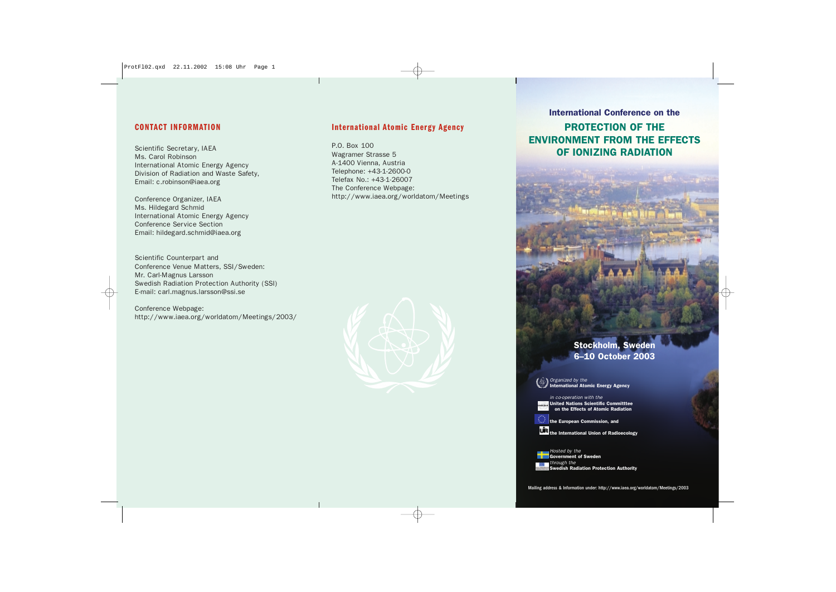#### **CONTACT INFORMATION**

Scientific Secretary, IAEA Ms. Carol Robinson International Atomic Energy Agency Division of Radiation and Waste Safety, Email: c.robinson@iaea.org

Conference Organizer, IAEA Ms. Hildegard Schmid International Atomic Energy Agency Conference Service Section Email: hildegard.schmid@iaea.org

Scientific Counterpart and Conference Venue Matters, SSI/Sweden: Mr. Carl-Magnus Larsson Swedish Radiation Protection Authority (SSI) E-mail: carl.magnus.larsson@ssi.se

Conference Webpage: http://www.iaea.org/worldatom/Meetings/2003/

#### **International Atomic Energy Agency**

P.O. Box 100 Wagramer Strasse 5 A-1400 Vienna, Austria Telephone: +43-1-2600-0 Telefax No.: +43-1-26007 The Conference Webpage: http://www.iaea.org/worldatom/Meetings



#### International Conference on the

PROTECTION OF THE ENVIRONMENT FROM THE EFFECTS OF IONIZING RADIATION

# Stockholm, Sweden 6–10 October 2003

*Organized by the*  nternational Atomic Energy Agency

*in co-operation with the* United Nations Scientific Committtee on the Effects of Atomic Radiation UNSCEAR

the European Commission, and **the International Union of Radioecology** 

*Hosted by the*  Government of Sweden *through the*  Swedish Radiation Protection Authority